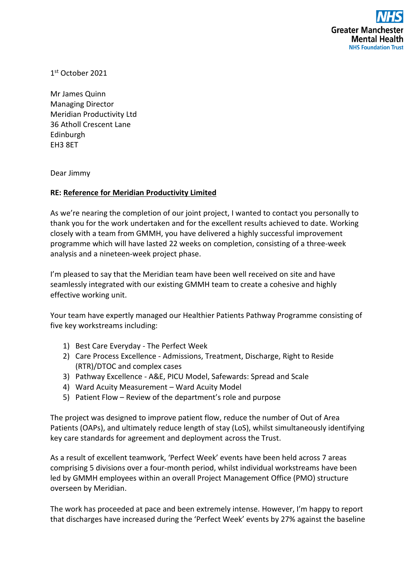

1 st October 2021

Mr James Quinn Managing Director Meridian Productivity Ltd 36 Atholl Crescent Lane Edinburgh EH3 8ET

Dear Jimmy

## **RE: Reference for Meridian Productivity Limited**

As we're nearing the completion of our joint project, I wanted to contact you personally to thank you for the work undertaken and for the excellent results achieved to date. Working closely with a team from GMMH, you have delivered a highly successful improvement programme which will have lasted 22 weeks on completion, consisting of a three-week analysis and a nineteen-week project phase.

I'm pleased to say that the Meridian team have been well received on site and have seamlessly integrated with our existing GMMH team to create a cohesive and highly effective working unit.

Your team have expertly managed our Healthier Patients Pathway Programme consisting of five key workstreams including:

- 1) Best Care Everyday The Perfect Week
- 2) Care Process Excellence Admissions, Treatment, Discharge, Right to Reside (RTR)/DTOC and complex cases
- 3) Pathway Excellence A&E, PICU Model, Safewards: Spread and Scale
- 4) Ward Acuity Measurement Ward Acuity Model
- 5) Patient Flow Review of the department's role and purpose

The project was designed to improve patient flow, reduce the number of Out of Area Patients (OAPs), and ultimately reduce length of stay (LoS), whilst simultaneously identifying key care standards for agreement and deployment across the Trust.

As a result of excellent teamwork, 'Perfect Week' events have been held across 7 areas comprising 5 divisions over a four-month period, whilst individual workstreams have been led by GMMH employees within an overall Project Management Office (PMO) structure overseen by Meridian.

The work has proceeded at pace and been extremely intense. However, I'm happy to report that discharges have increased during the 'Perfect Week' events by 27% against the baseline